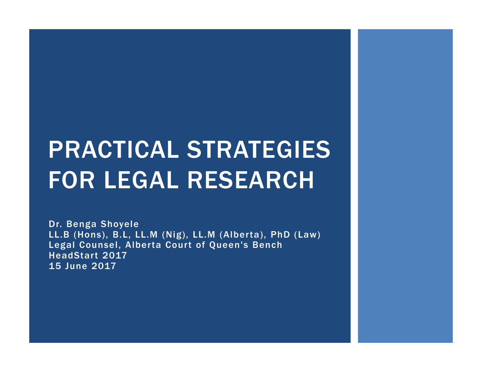# PRACTICAL STRATEGIES FOR LEGAL RESEARCH

Dr. Benga Shoyele LL.B (Hons), B.L, LL.M (Nig), LL.M (Alberta), PhD (Law)Legal Counsel, Alberta Court of Queen's BenchHeadStart <sup>2017</sup> 15 June 2017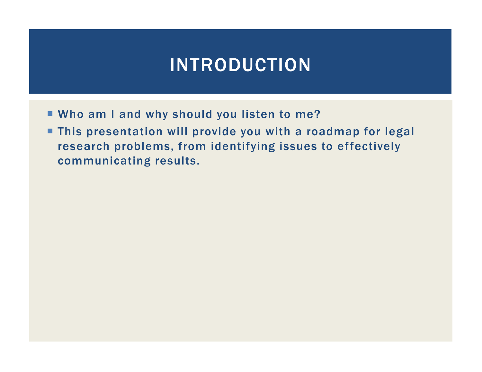## INTRODUCTION

- Who am I and why should you listen to me?
- **This presentation will provide you with a roadmap for legal** research problems, from identifying issues to effectively communicating results.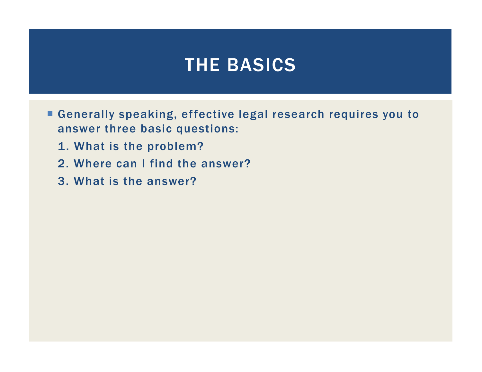#### THE BASICS

 Generally speaking, effective legal research requires you to answer three basic questions:

- 1. What is the problem?
- 2. Where can I find the answer?
- 3. What is the answer?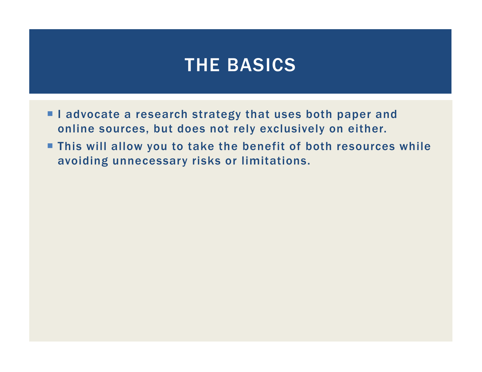#### THE BASICS

- I advocate a research strategy that uses both paper and online sources, but does not rely exclusively on either.
- **This will allow you to take the benefit of both resources while** avoiding unnecessary risks or limitations.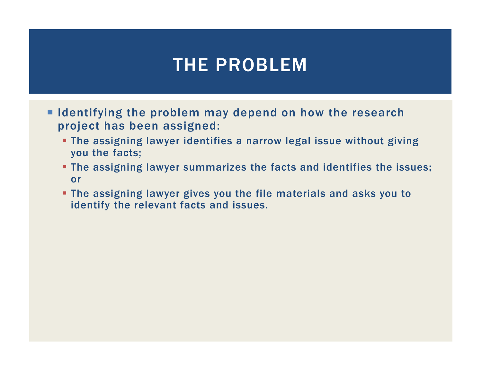- I Identifying the problem may depend on how the research project has been assigned:
	- The assigning lawyer identifies a narrow legal issue without giving you the facts;
	- The assigning lawyer summarizes the facts and identifies the issues; or
	- The assigning lawyer gives you the file materials and asks you to identify the relevant facts and issues.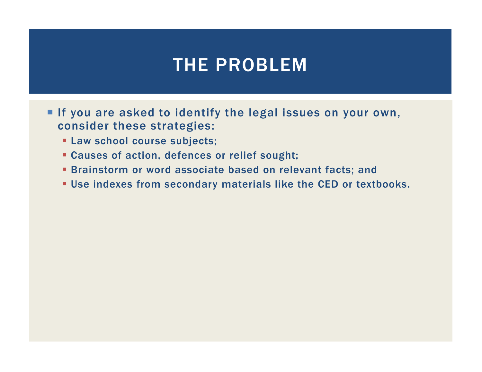- If you are asked to identify the legal issues on your own, consider these strategies:
	- Law school course subjects;
	- Causes of action, defences or relief sought;
	- Brainstorm or word associate based on relevant facts; and
	- Use indexes from secondary materials like the CED or textbooks.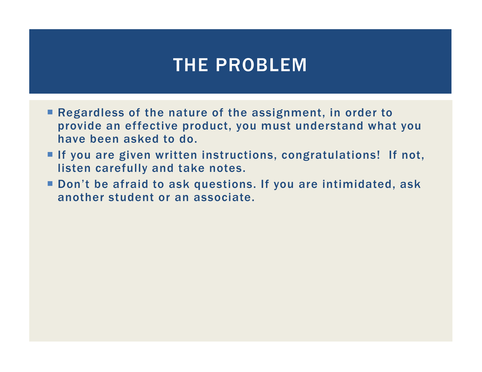- **Regardless of the nature of the assignment, in order to** provide an effective product, you must understand what you have been asked to do.
- If you are given written instructions, congratulations! If not, listen carefully and take notes.
- **Don't be afraid to ask questions. If you are intimidated, ask** another student or an associate.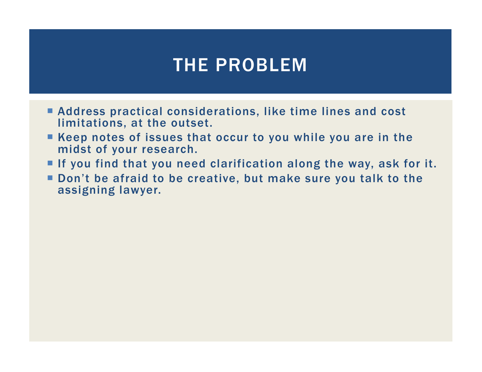- **Address practical considerations, like time lines and cost** limitations, at the outset.
- Keep notes of issues that occur to you while you are in the midst of your research.
- If you find that you need clarification along the way, ask for it.
- Don't be afraid to be creative, but make sure you talk to the assigning lawyer.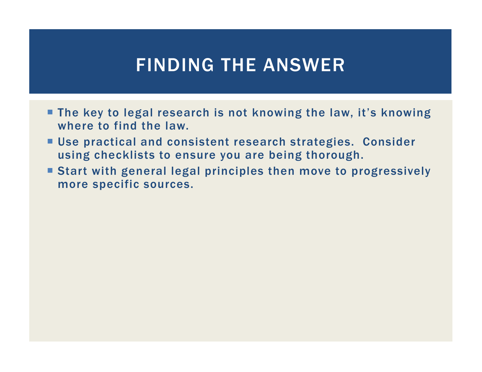#### FINDING THE ANSWER

- **The key to legal research is not knowing the law, it's knowing** where to find the law.
- **Use practical and consistent research strategies. Consider Late and Consistent research strategies.** using checklists to ensure you are being thorough.
- Start with general legal principles then move to progressively more specific sources.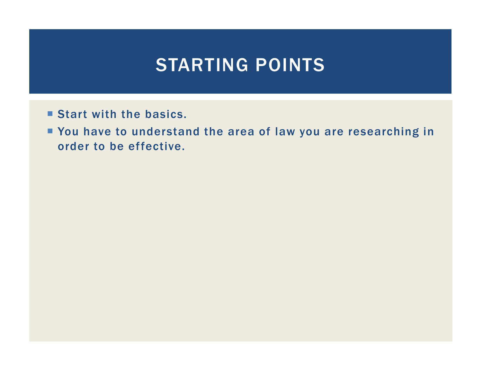- **Start with the basics.**
- **P** You have to understand the area of law you are researching in order to be effective.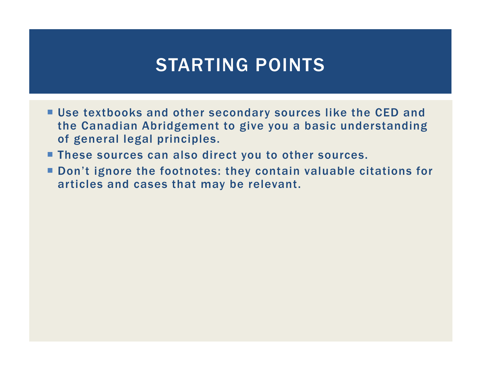- **Use textbooks and other secondary sources like the CED and use of the CED** and the Canadian Abridgement to give you a basic understanding of general legal principles.
- **These sources can also direct you to other sources.**
- **Don't ignore the footnotes: they contain valuable citations for** articles and cases that may be relevant.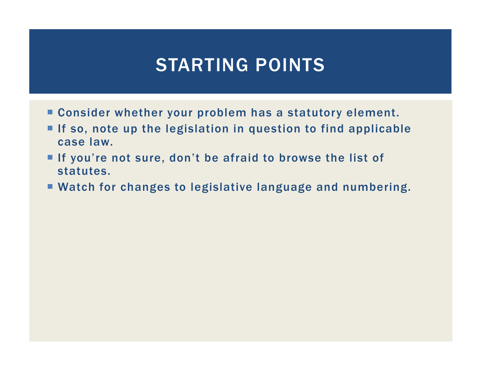- Consider whether your problem has a statutory element.
- If so, note up the legislation in question to find applicable case law.
- If you're not sure, don't be afraid to browse the list of statutes.
- Watch for changes to legislative language and numbering.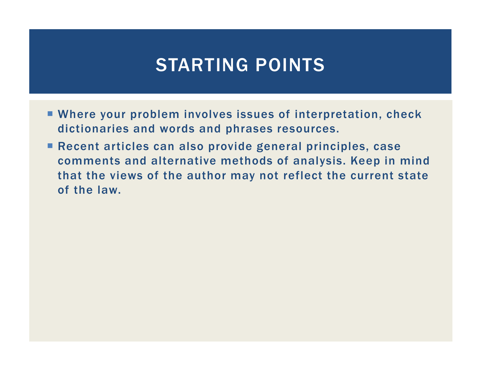- **Where your problem involves issues of interpretation, check** dictionaries and words and phrases resources.
- **Recent articles can also provide general principles, case** comments and alternative methods of analysis. Keep in mind that the views of the author may not reflect the current state of the law.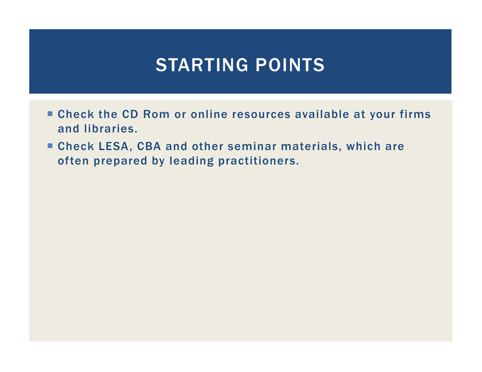- **Check the CD Rom or online resources available at your firms** and libraries.
- Check LESA, CBA and other seminar materials, which are often prepared by leading practitioners.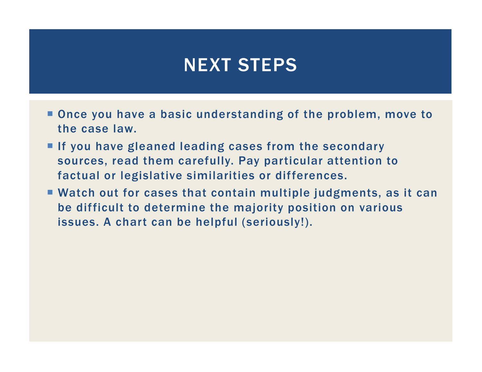- **Once you have a basic understanding of the problem, move to** the case law.
- If you have gleaned leading cases from the secondary sources, read them carefully. Pay particular attention to factual or legislative similarities or differences.
- **Watch out for cases that contain multiple judgments, as it can** be difficult to determine the majority position on various issues. A chart can be helpful (seriously!).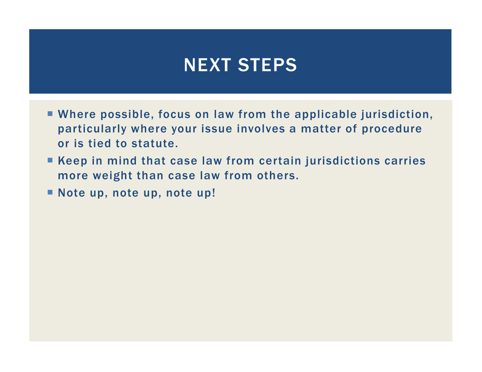- **Where possible, focus on law from the applicable jurisdiction,** particularly where your issue involves a matter of procedure or is tied to statute.
- Keep in mind that case law from certain jurisdictions carries more weight than case law from others.
- Note up, note up, note up!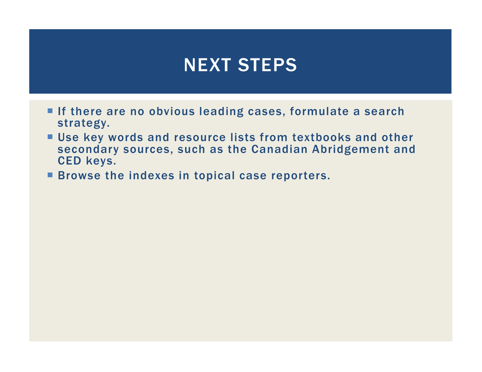- If there are no obvious leading cases, formulate a search strategy.
- Use key words and resource lists from textbooks and other<br>exceeding and resource lists from textbooks and other secondary sources, such as the Canadian Abridgement and CED keys.
- **Browse the indexes in topical case reporters.**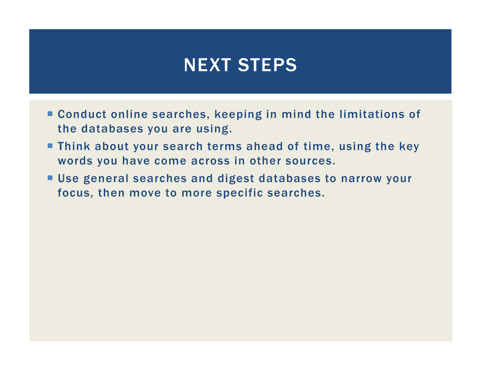- **Conduct online searches, keeping in mind the limitations of** the databases you are using.
- **Think about your search terms ahead of time, using the key** words you have come across in other sources.
- **Use general searches and digest databases to narrow your** focus, then move to more specific searches.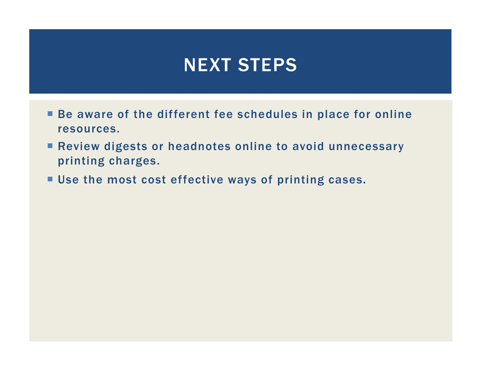- Be aware of the different fee schedules in place for online resources.
- **Review digests or headnotes online to avoid unnecessary** printing charges.
- **Use the most cost effective ways of printing cases.**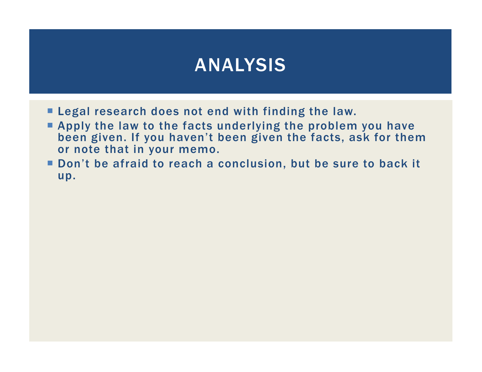- **Legal research does not end with finding the law.**
- Apply the law to the facts underlying the problem you have been given. If you haven't been given the facts, ask for them or note that in your memo.
- Don't be afraid to reach a conclusion, but be sure to back it up.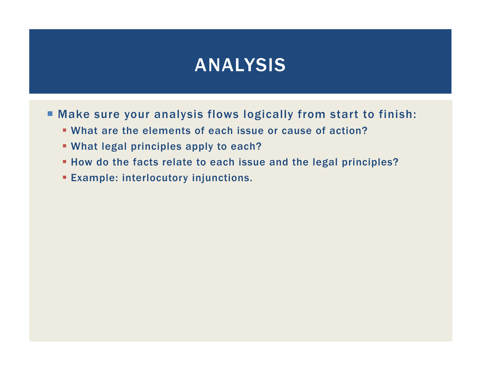Make sure your analysis flows logically from start to finish:

- What are the elements of each issue or cause of action?
- What legal principles apply to each?
- How do the facts relate to each issue and the legal principles?
- Example: interlocutory injunctions.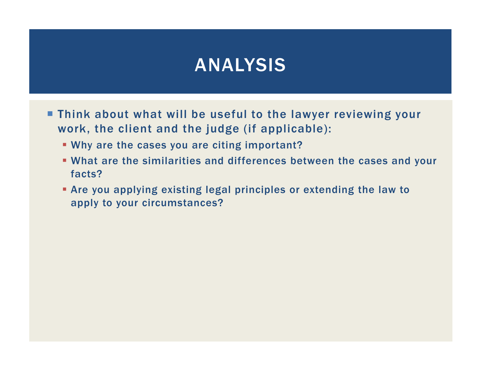- **Think about what will be useful to the lawyer reviewing your** work, the client and the judge (if applicable):
	- Why are the cases you are citing important?
	- What are the similarities and differences between the cases and your facts?
	- Are you applying existing legal principles or extending the law to apply to your circumstances?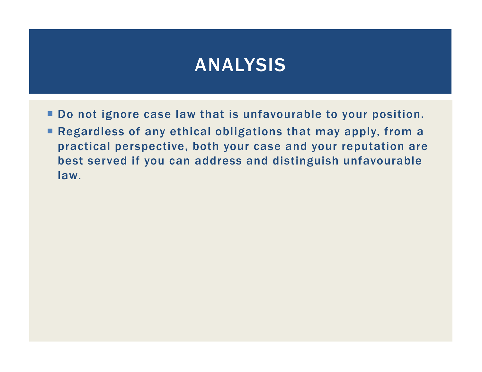- **Do not ignore case law that is unfavourable to your position.**
- **Regardless of any ethical obligations that may apply, from a** practical perspective, both your case and your reputation are best served if you can address and distinguish unfavourable law.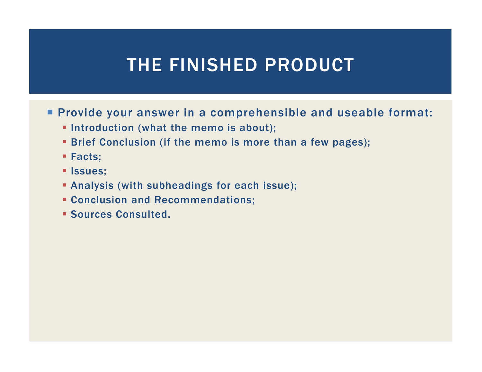**Provide your answer in a comprehensible and useable format:** 

- $\textcolor{red}{\bullet}$  Introduction (what the memo is about);
- Brief Conclusion (if the memo is more than a few pages);
- Facts;
- **E** Issues;
- Analysis (with subheadings for each issue);
- Conclusion and Recommendations;
- Sources Consulted.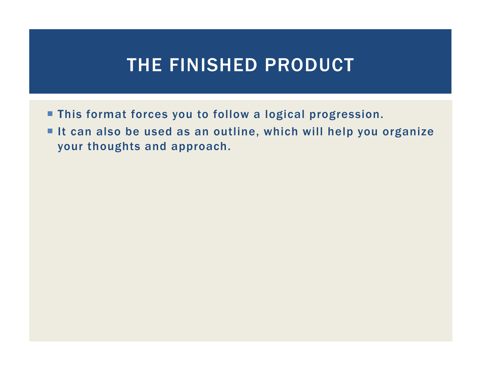- This format forces you to follow a logical progression.
- $\blacksquare$  It can also be used as an outline, which will help you organize your thoughts and approach.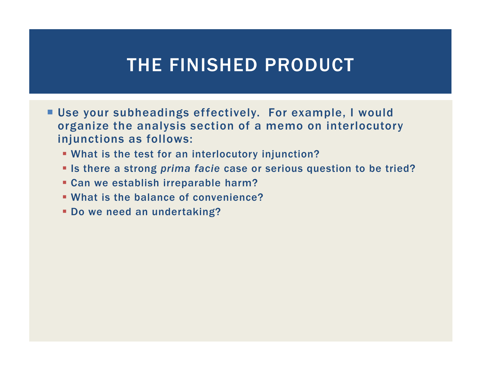- Use your subheadings effectively. For example, I would organize the analysis section of a memo on interlocutory injunctions as follows:
	- What is the test for an interlocutory injunction?
	- **In there a strong prima facie case or serious question to be tried?**
	- Can we establish irreparable harm?
	- **What is the balance of convenience?**
	- Do we need an undertaking?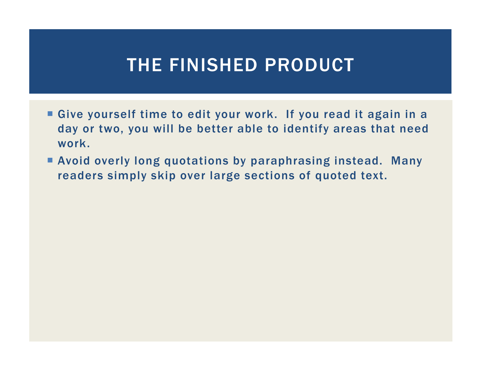- **Give yourself time to edit your work. If you read it again in a** day or two, you will be better able to identify areas that need work.
- **E** Avoid overly long quotations by paraphrasing instead. Many readers simply skip over large sections of quoted text.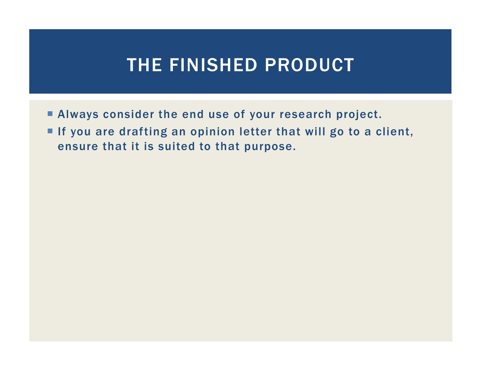- **Example 2** Always consider the end use of your research project.
- If you are drafting an opinion letter that will go to a client, ensure that it is suited to that purpose.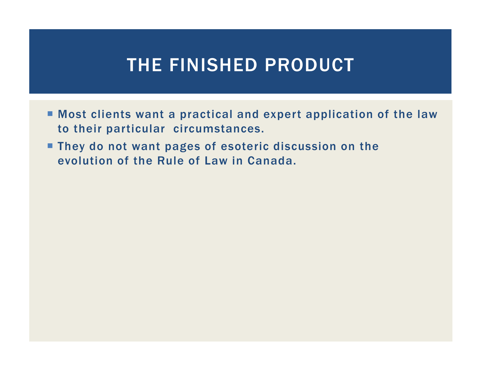- **Most clients want a practical and expert application of the law** to their particular circumstances.
- **They do not want pages of esoteric discussion on the** evolution of the Rule of Law in Canada.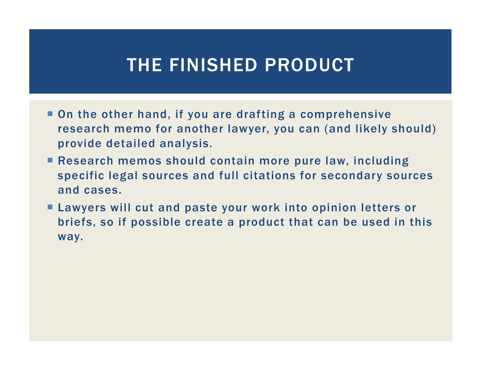- **On the other hand, if you are drafting a comprehensive** research memo for another lawyer, you can (and likely should) provide detailed analysis.
- **Research memos should contain more pure law, including** specific legal sources and full citations for secondary sources and cases.
- **Example 13 The Lawyers will cut and paste your work into opinion letters or** briefs, so if possible create a product that can be used in this way.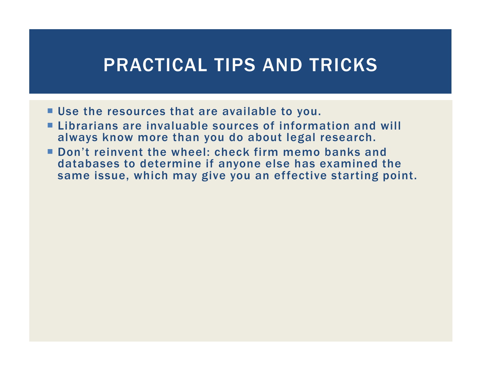- **Use the resources that are available to you.**
- **Librarians are invaluable sources of information and will** always know more than you do about legal research.
- Don't reinvent the wheel: check firm memo banks and<br>details assets detaining if anyone also has avained to databases to determine if anyone else has examined the same issue, which may give you an effective starting point.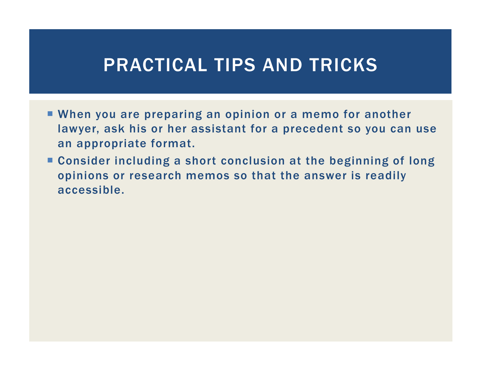- **When you are preparing an opinion or a memo for another** lawyer, ask his or her assistant for a precedent so you can use an appropriate format.
- Consider including a short conclusion at the beginning of long opinions or research memos so that the answer is readily accessible.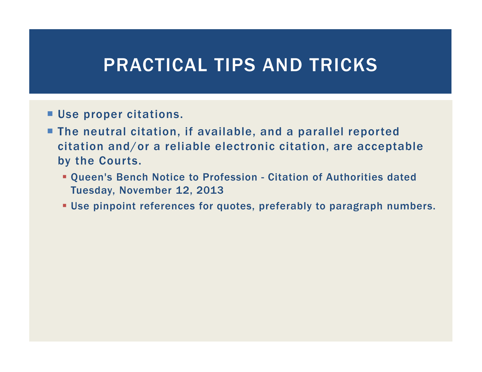- **Use proper citations.**
- **The neutral citation, if available, and a parallel reported** citation and/or a reliable electronic citation, are acceptable by the Courts.
	- **Queen's Bench Notice to Profession Citation of Authorities dated<br>Tuesday November 12, 2013** Tuesday, November 12, 2013
	- Use pinpoint references for quotes, preferably to paragraph numbers.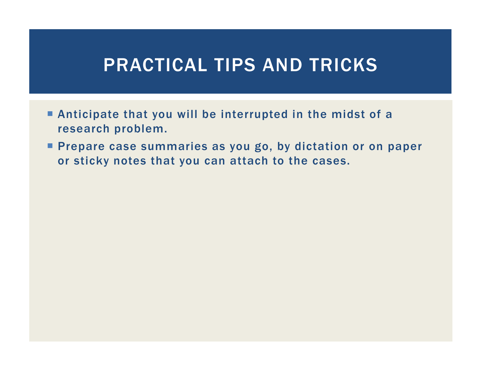- **Anticipate that you will be interrupted in the midst of a** research problem.
- **Prepare case summaries as you go, by dictation or on paper** or sticky notes that you can attach to the cases.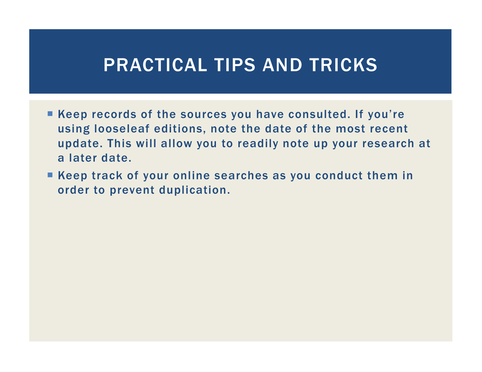- Keep records of the sources you have consulted. If you're using looseleaf editions, note the date of the most recent update. This will allow you to readily note up your research at a later date.
- Keep track of your online searches as you conduct them in order to prevent duplication.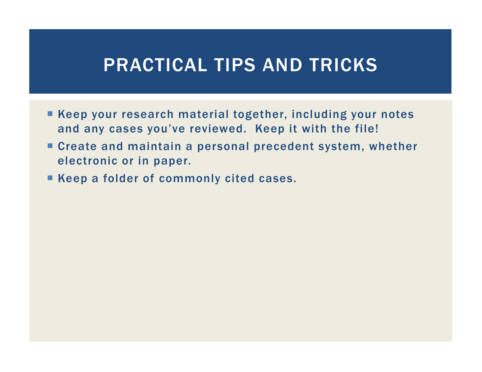- Keep your research material together, including your notes and any cases you've reviewed. Keep it with the file!
- **Create and maintain a personal precedent system, whether** electronic or in paper.
- Keep a folder of commonly cited cases.